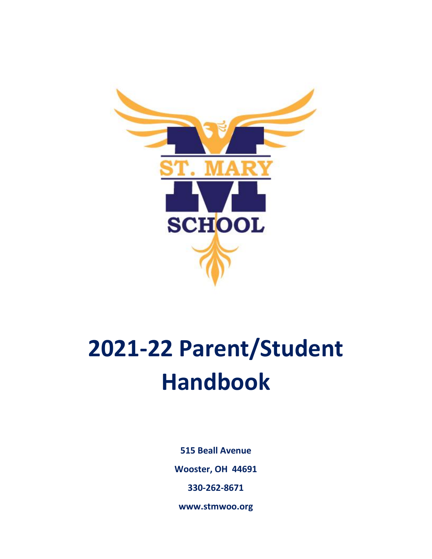

# **2021-22 Parent/Student Handbook**

**515 Beall Avenue Wooster, OH 44691 330-262-8671**

**www.stmwoo.org**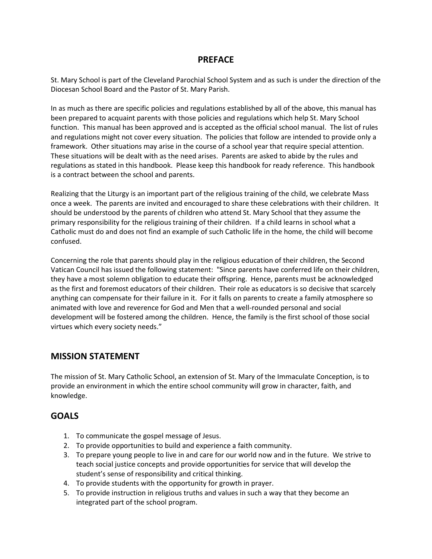## **PREFACE**

St. Mary School is part of the Cleveland Parochial School System and as such is under the direction of the Diocesan School Board and the Pastor of St. Mary Parish.

In as much as there are specific policies and regulations established by all of the above, this manual has been prepared to acquaint parents with those policies and regulations which help St. Mary School function. This manual has been approved and is accepted as the official school manual. The list of rules and regulations might not cover every situation. The policies that follow are intended to provide only a framework. Other situations may arise in the course of a school year that require special attention. These situations will be dealt with as the need arises. Parents are asked to abide by the rules and regulations as stated in this handbook. Please keep this handbook for ready reference. This handbook is a contract between the school and parents.

Realizing that the Liturgy is an important part of the religious training of the child, we celebrate Mass once a week. The parents are invited and encouraged to share these celebrations with their children. It should be understood by the parents of children who attend St. Mary School that they assume the primary responsibility for the religious training of their children. If a child learns in school what a Catholic must do and does not find an example of such Catholic life in the home, the child will become confused.

Concerning the role that parents should play in the religious education of their children, the Second Vatican Council has issued the following statement: "Since parents have conferred life on their children, they have a most solemn obligation to educate their offspring. Hence, parents must be acknowledged as the first and foremost educators of their children. Their role as educators is so decisive that scarcely anything can compensate for their failure in it. For it falls on parents to create a family atmosphere so animated with love and reverence for God and Men that a well-rounded personal and social development will be fostered among the children. Hence, the family is the first school of those social virtues which every society needs."

# **MISSION STATEMENT**

The mission of St. Mary Catholic School, an extension of St. Mary of the Immaculate Conception, is to provide an environment in which the entire school community will grow in character, faith, and knowledge.

# **GOALS**

- 1. To communicate the gospel message of Jesus.
- 2. To provide opportunities to build and experience a faith community.
- 3. To prepare young people to live in and care for our world now and in the future. We strive to teach social justice concepts and provide opportunities for service that will develop the student's sense of responsibility and critical thinking.
- 4. To provide students with the opportunity for growth in prayer.
- 5. To provide instruction in religious truths and values in such a way that they become an integrated part of the school program.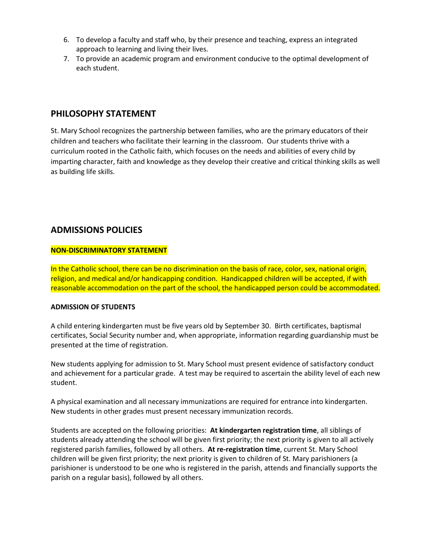- 6. To develop a faculty and staff who, by their presence and teaching, express an integrated approach to learning and living their lives.
- 7. To provide an academic program and environment conducive to the optimal development of each student.

## **PHILOSOPHY STATEMENT**

St. Mary School recognizes the partnership between families, who are the primary educators of their children and teachers who facilitate their learning in the classroom. Our students thrive with a curriculum rooted in the Catholic faith, which focuses on the needs and abilities of every child by imparting character, faith and knowledge as they develop their creative and critical thinking skills as well as building life skills.

# **ADMISSIONS POLICIES**

#### **NON-DISCRIMINATORY STATEMENT**

In the Catholic school, there can be no discrimination on the basis of race, color, sex, national origin, religion, and medical and/or handicapping condition. Handicapped children will be accepted, if with reasonable accommodation on the part of the school, the handicapped person could be accommodated.

#### **ADMISSION OF STUDENTS**

A child entering kindergarten must be five years old by September 30. Birth certificates, baptismal certificates, Social Security number and, when appropriate, information regarding guardianship must be presented at the time of registration.

New students applying for admission to St. Mary School must present evidence of satisfactory conduct and achievement for a particular grade. A test may be required to ascertain the ability level of each new student.

A physical examination and all necessary immunizations are required for entrance into kindergarten. New students in other grades must present necessary immunization records.

Students are accepted on the following priorities: **At kindergarten registration time**, all siblings of students already attending the school will be given first priority; the next priority is given to all actively registered parish families, followed by all others. **At re-registration time**, current St. Mary School children will be given first priority; the next priority is given to children of St. Mary parishioners (a parishioner is understood to be one who is registered in the parish, attends and financially supports the parish on a regular basis), followed by all others.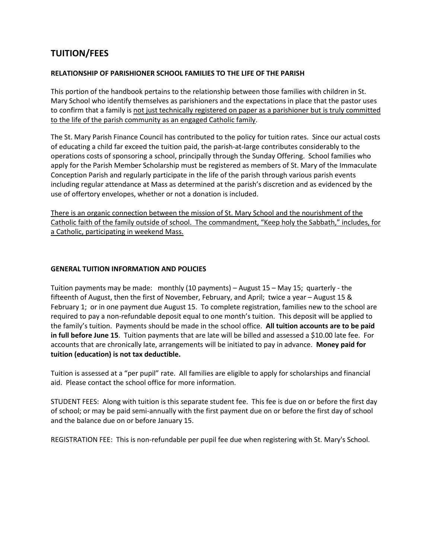# **TUITION/FEES**

#### **RELATIONSHIP OF PARISHIONER SCHOOL FAMILIES TO THE LIFE OF THE PARISH**

This portion of the handbook pertains to the relationship between those families with children in St. Mary School who identify themselves as parishioners and the expectations in place that the pastor uses to confirm that a family is not just technically registered on paper as a parishioner but is truly committed to the life of the parish community as an engaged Catholic family.

The St. Mary Parish Finance Council has contributed to the policy for tuition rates. Since our actual costs of educating a child far exceed the tuition paid, the parish-at-large contributes considerably to the operations costs of sponsoring a school, principally through the Sunday Offering. School families who apply for the Parish Member Scholarship must be registered as members of St. Mary of the Immaculate Conception Parish and regularly participate in the life of the parish through various parish events including regular attendance at Mass as determined at the parish's discretion and as evidenced by the use of offertory envelopes, whether or not a donation is included.

There is an organic connection between the mission of St. Mary School and the nourishment of the Catholic faith of the family outside of school. The commandment, "Keep holy the Sabbath," includes, for a Catholic, participating in weekend Mass.

#### **GENERAL TUITION INFORMATION AND POLICIES**

Tuition payments may be made: monthly (10 payments) – August 15 – May 15; quarterly - the fifteenth of August, then the first of November, February, and April; twice a year – August 15 & February 1; or in one payment due August 15. To complete registration, families new to the school are required to pay a non-refundable deposit equal to one month's tuition. This deposit will be applied to the family's tuition. Payments should be made in the school office. **All tuition accounts are to be paid in full before June 15**. Tuition payments that are late will be billed and assessed a \$10.00 late fee. For accounts that are chronically late, arrangements will be initiated to pay in advance. **Money paid for tuition (education) is not tax deductible.**

Tuition is assessed at a "per pupil" rate. All families are eligible to apply for scholarships and financial aid. Please contact the school office for more information.

STUDENT FEES: Along with tuition is this separate student fee. This fee is due on or before the first day of school; or may be paid semi-annually with the first payment due on or before the first day of school and the balance due on or before January 15.

REGISTRATION FEE: This is non-refundable per pupil fee due when registering with St. Mary's School.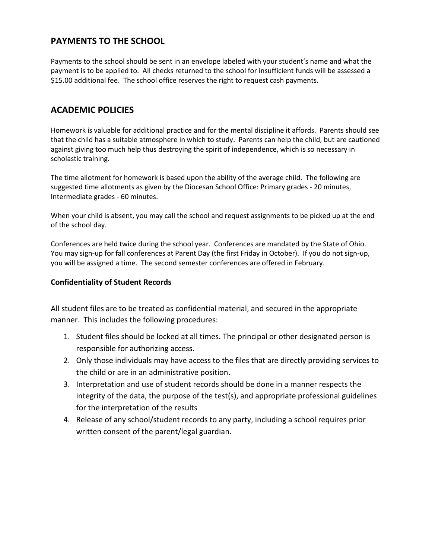# **PAYMENTS TO THE SCHOOL**

Payments to the school should be sent in an envelope labeled with your student's name and what the payment is to be applied to. All checks returned to the school for insufficient funds will be assessed a \$15.00 additional fee. The school office reserves the right to request cash payments.

# **ACADEMIC POLICIES**

Homework is valuable for additional practice and for the mental discipline it affords. Parents should see that the child has a suitable atmosphere in which to study. Parents can help the child, but are cautioned against giving too much help thus destroying the spirit of independence, which is so necessary in scholastic training.

The time allotment for homework is based upon the ability of the average child. The following are suggested time allotments as given by the Diocesan School Office: Primary grades - 20 minutes, Intermediate grades - 60 minutes.

When your child is absent, you may call the school and request assignments to be picked up at the end of the school day.

Conferences are held twice during the school year. Conferences are mandated by the State of Ohio. You may sign-up for fall conferences at Parent Day (the first Friday in October). If you do not sign-up, you will be assigned a time. The second semester conferences are offered in February.

## **Confidentiality of Student Records**

All student files are to be treated as confidential material, and secured in the appropriate manner. This includes the following procedures:

- 1. Student files should be locked at all times. The principal or other designated person is responsible for authorizing access.
- 2. Only those individuals may have access to the files that are directly providing services to the child or are in an administrative position.
- 3. Interpretation and use of student records should be done in a manner respects the integrity of the data, the purpose of the test(s), and appropriate professional guidelines for the interpretation of the results
- 4. Release of any school/student records to any party, including a school requires prior written consent of the parent/legal guardian.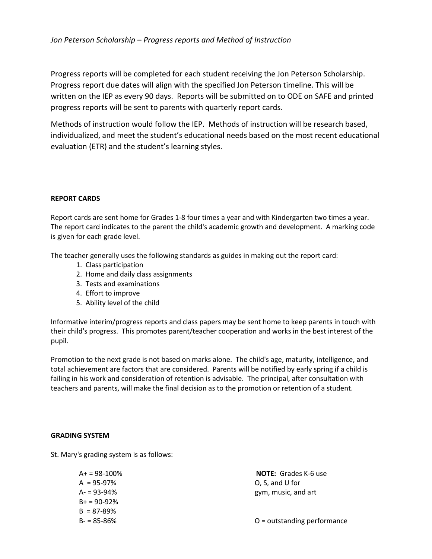Progress reports will be completed for each student receiving the Jon Peterson Scholarship. Progress report due dates will align with the specified Jon Peterson timeline. This will be written on the IEP as every 90 days. Reports will be submitted on to ODE on SAFE and printed progress reports will be sent to parents with quarterly report cards.

Methods of instruction would follow the IEP. Methods of instruction will be research based, individualized, and meet the student's educational needs based on the most recent educational evaluation (ETR) and the student's learning styles.

#### **REPORT CARDS**

Report cards are sent home for Grades 1-8 four times a year and with Kindergarten two times a year. The report card indicates to the parent the child's academic growth and development. A marking code is given for each grade level.

The teacher generally uses the following standards as guides in making out the report card:

- 1. Class participation
- 2. Home and daily class assignments
- 3. Tests and examinations
- 4. Effort to improve
- 5. Ability level of the child

Informative interim/progress reports and class papers may be sent home to keep parents in touch with their child's progress. This promotes parent/teacher cooperation and works in the best interest of the pupil.

Promotion to the next grade is not based on marks alone. The child's age, maturity, intelligence, and total achievement are factors that are considered. Parents will be notified by early spring if a child is failing in his work and consideration of retention is advisable. The principal, after consultation with teachers and parents, will make the final decision as to the promotion or retention of a student.

#### **GRADING SYSTEM**

St. Mary's grading system is as follows:

| $A+ = 98-100%$ |
|----------------|
| $A = 95-97%$   |
| $A - 93 - 94%$ |
| $B_+ = 90-92%$ |
| $B = 87 - 89%$ |
| B- = 85-86%    |
|                |

**NOTE:** Grades K-6 use  $O$ , S, and U for gym, music, and art

 $O =$  outstanding performance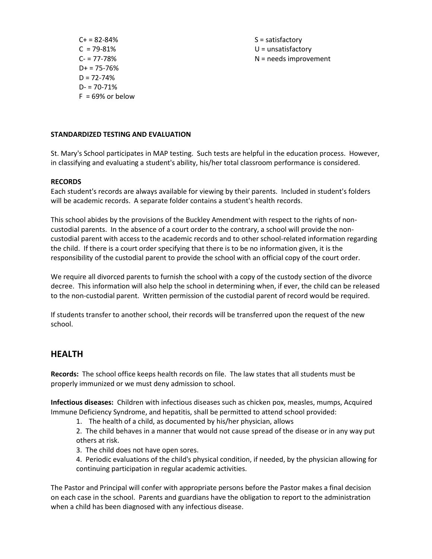$C + 82 - 84\%$  S = satisfactory  $D+ = 75 - 76%$  $D = 72 - 74%$  $D = 70 - 71%$  $F = 69\%$  or below

 $C = 79-81\%$  U = unsatisfactory  $C = 77-78\%$  N = needs improvement

#### **STANDARDIZED TESTING AND EVALUATION**

St. Mary's School participates in MAP testing. Such tests are helpful in the education process. However, in classifying and evaluating a student's ability, his/her total classroom performance is considered.

#### **RECORDS**

Each student's records are always available for viewing by their parents. Included in student's folders will be academic records. A separate folder contains a student's health records.

This school abides by the provisions of the Buckley Amendment with respect to the rights of noncustodial parents. In the absence of a court order to the contrary, a school will provide the noncustodial parent with access to the academic records and to other school-related information regarding the child. If there is a court order specifying that there is to be no information given, it is the responsibility of the custodial parent to provide the school with an official copy of the court order.

We require all divorced parents to furnish the school with a copy of the custody section of the divorce decree. This information will also help the school in determining when, if ever, the child can be released to the non-custodial parent. Written permission of the custodial parent of record would be required.

If students transfer to another school, their records will be transferred upon the request of the new school.

## **HEALTH**

**Records:** The school office keeps health records on file. The law states that all students must be properly immunized or we must deny admission to school.

**Infectious diseases:** Children with infectious diseases such as chicken pox, measles, mumps, Acquired Immune Deficiency Syndrome, and hepatitis, shall be permitted to attend school provided:

1. The health of a child, as documented by his/her physician, allows

2. The child behaves in a manner that would not cause spread of the disease or in any way put others at risk.

3. The child does not have open sores.

4. Periodic evaluations of the child's physical condition, if needed, by the physician allowing for continuing participation in regular academic activities.

The Pastor and Principal will confer with appropriate persons before the Pastor makes a final decision on each case in the school. Parents and guardians have the obligation to report to the administration when a child has been diagnosed with any infectious disease.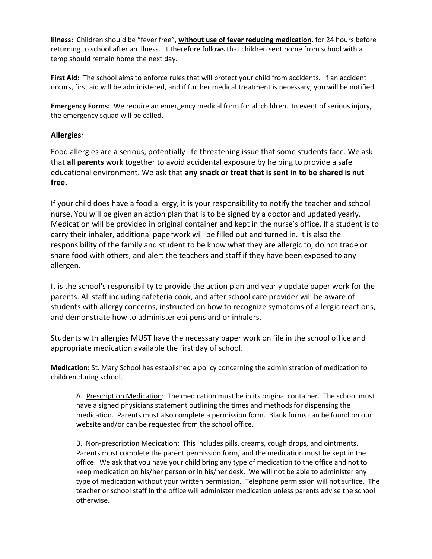**Illness:** Children should be "fever free", **without use of fever reducing medication**, for 24 hours before returning to school after an illness. It therefore follows that children sent home from school with a temp should remain home the next day.

**First Aid:** The school aims to enforce rules that will protect your child from accidents. If an accident occurs, first aid will be administered, and if further medical treatment is necessary, you will be notified.

**Emergency Forms:** We require an emergency medical form for all children. In event of serious injury, the emergency squad will be called.

## **Allergies***:*

Food allergies are a serious, potentially life threatening issue that some students face. We ask that **all parents** work together to avoid accidental exposure by helping to provide a safe educational environment. We ask that **any snack or treat that is sent in to be shared is nut free.**

If your child does have a food allergy, it is your responsibility to notify the teacher and school nurse. You will be given an action plan that is to be signed by a doctor and updated yearly. Medication will be provided in original container and kept in the nurse's office. If a student is to carry their inhaler, additional paperwork will be filled out and turned in. It is also the responsibility of the family and student to be know what they are allergic to, do not trade or share food with others, and alert the teachers and staff if they have been exposed to any allergen.

It is the school's responsibility to provide the action plan and yearly update paper work for the parents. All staff including cafeteria cook, and after school care provider will be aware of students with allergy concerns, instructed on how to recognize symptoms of allergic reactions, and demonstrate how to administer epi pens and or inhalers.

Students with allergies MUST have the necessary paper work on file in the school office and appropriate medication available the first day of school.

**Medication:** St. Mary School has established a policy concerning the administration of medication to children during school.

A. Prescription Medication: The medication must be in its original container. The school must have a signed physicians statement outlining the times and methods for dispensing the medication. Parents must also complete a permission form. Blank forms can be found on our website and/or can be requested from the school office.

B. Non-prescription Medication: This includes pills, creams, cough drops, and ointments. Parents must complete the parent permission form, and the medication must be kept in the office. We ask that you have your child bring any type of medication to the office and not to keep medication on his/her person or in his/her desk. We will not be able to administer any type of medication without your written permission. Telephone permission will not suffice. The teacher or school staff in the office will administer medication unless parents advise the school otherwise.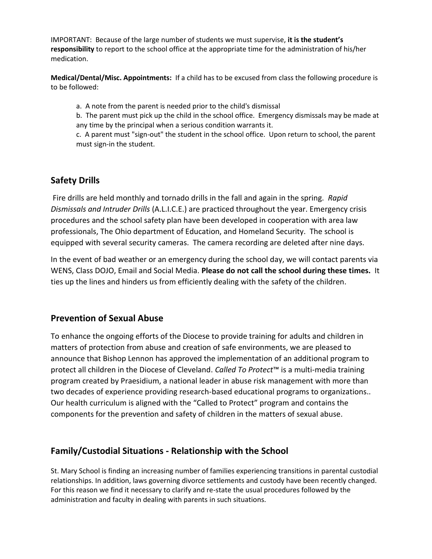IMPORTANT: Because of the large number of students we must supervise, **it is the student's responsibility** to report to the school office at the appropriate time for the administration of his/her medication.

**Medical/Dental/Misc. Appointments:** If a child has to be excused from class the following procedure is to be followed:

a. A note from the parent is needed prior to the child's dismissal

b. The parent must pick up the child in the school office. Emergency dismissals may be made at any time by the principal when a serious condition warrants it.

c. A parent must "sign-out" the student in the school office. Upon return to school, the parent must sign-in the student.

# **Safety Drills**

Fire drills are held monthly and tornado drills in the fall and again in the spring. *Rapid Dismissals and Intruder Drills* (A.L.I.C.E.) are practiced throughout the year. Emergency crisis procedures and the school safety plan have been developed in cooperation with area law professionals, The Ohio department of Education, and Homeland Security. The school is equipped with several security cameras. The camera recording are deleted after nine days.

In the event of bad weather or an emergency during the school day, we will contact parents via WENS, Class DOJO, Email and Social Media. **Please do not call the school during these times.** It ties up the lines and hinders us from efficiently dealing with the safety of the children.

# **Prevention of Sexual Abuse**

To enhance the ongoing efforts of the Diocese to provide training for adults and children in matters of protection from abuse and creation of safe environments, we are pleased to announce that Bishop Lennon has approved the implementation of an additional program to protect all children in the Diocese of Cleveland. *Called To Protect*™ is a multi-media training program created by Praesidium, a national leader in abuse risk management with more than two decades of experience providing research-based educational programs to organizations.. Our health curriculum is aligned with the "Called to Protect" program and contains the components for the prevention and safety of children in the matters of sexual abuse.

# **Family/Custodial Situations - Relationship with the School**

St. Mary School is finding an increasing number of families experiencing transitions in parental custodial relationships. In addition, laws governing divorce settlements and custody have been recently changed. For this reason we find it necessary to clarify and re-state the usual procedures followed by the administration and faculty in dealing with parents in such situations.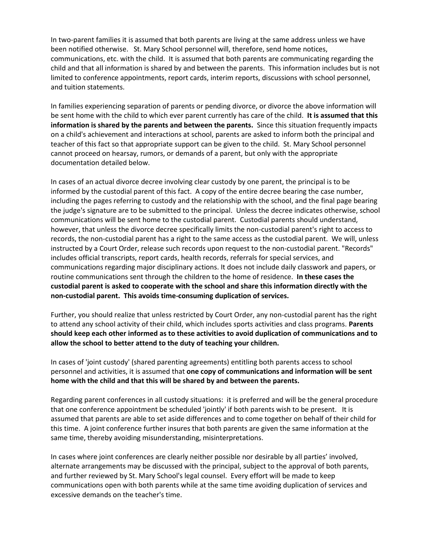In two-parent families it is assumed that both parents are living at the same address unless we have been notified otherwise. St. Mary School personnel will, therefore, send home notices, communications, etc. with the child. It is assumed that both parents are communicating regarding the child and that all information is shared by and between the parents. This information includes but is not limited to conference appointments, report cards, interim reports, discussions with school personnel, and tuition statements.

In families experiencing separation of parents or pending divorce, or divorce the above information will be sent home with the child to which ever parent currently has care of the child. **It is assumed that this information is shared by the parents and between the parents.** Since this situation frequently impacts on a child's achievement and interactions at school, parents are asked to inform both the principal and teacher of this fact so that appropriate support can be given to the child. St. Mary School personnel cannot proceed on hearsay, rumors, or demands of a parent, but only with the appropriate documentation detailed below.

In cases of an actual divorce decree involving clear custody by one parent, the principal is to be informed by the custodial parent of this fact. A copy of the entire decree bearing the case number, including the pages referring to custody and the relationship with the school, and the final page bearing the judge's signature are to be submitted to the principal. Unless the decree indicates otherwise, school communications will be sent home to the custodial parent. Custodial parents should understand, however, that unless the divorce decree specifically limits the non-custodial parent's right to access to records, the non-custodial parent has a right to the same access as the custodial parent. We will, unless instructed by a Court Order, release such records upon request to the non-custodial parent. "Records" includes official transcripts, report cards, health records, referrals for special services, and communications regarding major disciplinary actions. It does not include daily classwork and papers, or routine communications sent through the children to the home of residence. **In these cases the custodial parent is asked to cooperate with the school and share this information directly with the non-custodial parent. This avoids time-consuming duplication of services.** 

Further, you should realize that unless restricted by Court Order, any non-custodial parent has the right to attend any school activity of their child, which includes sports activities and class programs. **Parents should keep each other informed as to these activities to avoid duplication of communications and to allow the school to better attend to the duty of teaching your children.**

In cases of 'joint custody' (shared parenting agreements) entitling both parents access to school personnel and activities, it is assumed that **one copy of communications and information will be sent home with the child and that this will be shared by and between the parents.**

Regarding parent conferences in all custody situations: it is preferred and will be the general procedure that one conference appointment be scheduled 'jointly' if both parents wish to be present. It is assumed that parents are able to set aside differences and to come together on behalf of their child for this time. A joint conference further insures that both parents are given the same information at the same time, thereby avoiding misunderstanding, misinterpretations.

In cases where joint conferences are clearly neither possible nor desirable by all parties' involved, alternate arrangements may be discussed with the principal, subject to the approval of both parents, and further reviewed by St. Mary School's legal counsel. Every effort will be made to keep communications open with both parents while at the same time avoiding duplication of services and excessive demands on the teacher's time.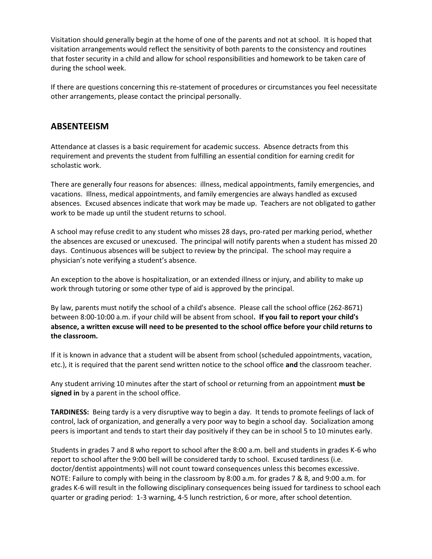Visitation should generally begin at the home of one of the parents and not at school. It is hoped that visitation arrangements would reflect the sensitivity of both parents to the consistency and routines that foster security in a child and allow for school responsibilities and homework to be taken care of during the school week.

If there are questions concerning this re-statement of procedures or circumstances you feel necessitate other arrangements, please contact the principal personally.

## **ABSENTEEISM**

Attendance at classes is a basic requirement for academic success. Absence detracts from this requirement and prevents the student from fulfilling an essential condition for earning credit for scholastic work.

There are generally four reasons for absences: illness, medical appointments, family emergencies, and vacations. Illness, medical appointments, and family emergencies are always handled as excused absences. Excused absences indicate that work may be made up. Teachers are not obligated to gather work to be made up until the student returns to school.

A school may refuse credit to any student who misses 28 days, pro-rated per marking period, whether the absences are excused or unexcused. The principal will notify parents when a student has missed 20 days. Continuous absences will be subject to review by the principal. The school may require a physician's note verifying a student's absence.

An exception to the above is hospitalization, or an extended illness or injury, and ability to make up work through tutoring or some other type of aid is approved by the principal.

By law, parents must notify the school of a child's absence. Please call the school office (262-8671) between 8:00-10:00 a.m. if your child will be absent from school**. If you fail to report your child's absence, a written excuse will need to be presented to the school office before your child returns to the classroom.**

If it is known in advance that a student will be absent from school (scheduled appointments, vacation, etc.), it is required that the parent send written notice to the school office **and** the classroom teacher.

Any student arriving 10 minutes after the start of school or returning from an appointment **must be signed in** by a parent in the school office.

**TARDINESS:** Being tardy is a very disruptive way to begin a day. It tends to promote feelings of lack of control, lack of organization, and generally a very poor way to begin a school day. Socialization among peers is important and tends to start their day positively if they can be in school 5 to 10 minutes early.

Students in grades 7 and 8 who report to school after the 8:00 a.m. bell and students in grades K-6 who report to school after the 9:00 bell will be considered tardy to school. Excused tardiness (i.e. doctor/dentist appointments) will not count toward consequences unless this becomes excessive. NOTE: Failure to comply with being in the classroom by 8:00 a.m. for grades 7 & 8, and 9:00 a.m. for grades K-6 will result in the following disciplinary consequences being issued for tardiness to school each quarter or grading period: 1-3 warning, 4-5 lunch restriction, 6 or more, after school detention.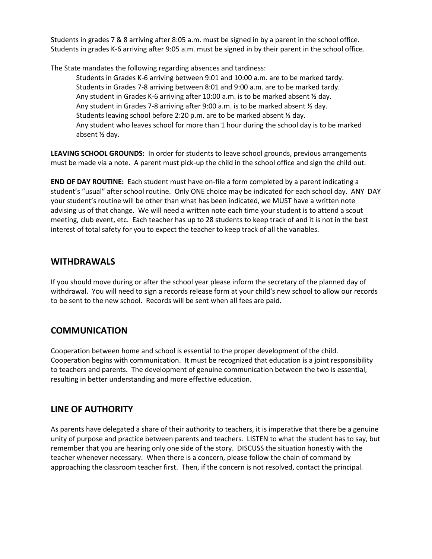Students in grades 7 & 8 arriving after 8:05 a.m. must be signed in by a parent in the school office. Students in grades K-6 arriving after 9:05 a.m. must be signed in by their parent in the school office.

The State mandates the following regarding absences and tardiness:

Students in Grades K-6 arriving between 9:01 and 10:00 a.m. are to be marked tardy. Students in Grades 7-8 arriving between 8:01 and 9:00 a.m. are to be marked tardy. Any student in Grades K-6 arriving after 10:00 a.m. is to be marked absent 1/2 day. Any student in Grades 7-8 arriving after 9:00 a.m. is to be marked absent ½ day. Students leaving school before 2:20 p.m. are to be marked absent ½ day. Any student who leaves school for more than 1 hour during the school day is to be marked absent ½ day.

**LEAVING SCHOOL GROUNDS:** In order for students to leave school grounds, previous arrangements must be made via a note. A parent must pick-up the child in the school office and sign the child out.

**END OF DAY ROUTINE:** Each student must have on-file a form completed by a parent indicating a student's "usual" after school routine. Only ONE choice may be indicated for each school day. ANY DAY your student's routine will be other than what has been indicated, we MUST have a written note advising us of that change. We will need a written note each time your student is to attend a scout meeting, club event, etc. Each teacher has up to 28 students to keep track of and it is not in the best interest of total safety for you to expect the teacher to keep track of all the variables.

## **WITHDRAWALS**

If you should move during or after the school year please inform the secretary of the planned day of withdrawal. You will need to sign a records release form at your child's new school to allow our records to be sent to the new school. Records will be sent when all fees are paid.

# **COMMUNICATION**

Cooperation between home and school is essential to the proper development of the child. Cooperation begins with communication. It must be recognized that education is a joint responsibility to teachers and parents. The development of genuine communication between the two is essential, resulting in better understanding and more effective education.

# **LINE OF AUTHORITY**

As parents have delegated a share of their authority to teachers, it is imperative that there be a genuine unity of purpose and practice between parents and teachers. LISTEN to what the student has to say, but remember that you are hearing only one side of the story. DISCUSS the situation honestly with the teacher whenever necessary. When there is a concern, please follow the chain of command by approaching the classroom teacher first. Then, if the concern is not resolved, contact the principal.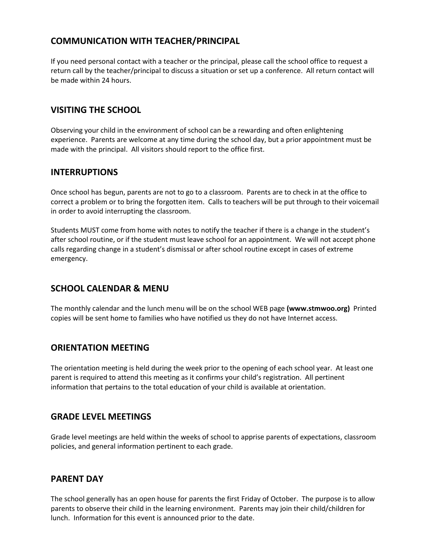# **COMMUNICATION WITH TEACHER/PRINCIPAL**

If you need personal contact with a teacher or the principal, please call the school office to request a return call by the teacher/principal to discuss a situation or set up a conference. All return contact will be made within 24 hours.

## **VISITING THE SCHOOL**

Observing your child in the environment of school can be a rewarding and often enlightening experience. Parents are welcome at any time during the school day, but a prior appointment must be made with the principal. All visitors should report to the office first.

## **INTERRUPTIONS**

Once school has begun, parents are not to go to a classroom. Parents are to check in at the office to correct a problem or to bring the forgotten item. Calls to teachers will be put through to their voicemail in order to avoid interrupting the classroom.

Students MUST come from home with notes to notify the teacher if there is a change in the student's after school routine, or if the student must leave school for an appointment. We will not accept phone calls regarding change in a student's dismissal or after school routine except in cases of extreme emergency.

# **SCHOOL CALENDAR & MENU**

The monthly calendar and the lunch menu will be on the school WEB page **(www.stmwoo.org)** Printed copies will be sent home to families who have notified us they do not have Internet access.

## **ORIENTATION MEETING**

The orientation meeting is held during the week prior to the opening of each school year. At least one parent is required to attend this meeting as it confirms your child's registration. All pertinent information that pertains to the total education of your child is available at orientation.

## **GRADE LEVEL MEETINGS**

Grade level meetings are held within the weeks of school to apprise parents of expectations, classroom policies, and general information pertinent to each grade.

## **PARENT DAY**

The school generally has an open house for parents the first Friday of October. The purpose is to allow parents to observe their child in the learning environment. Parents may join their child/children for lunch. Information for this event is announced prior to the date.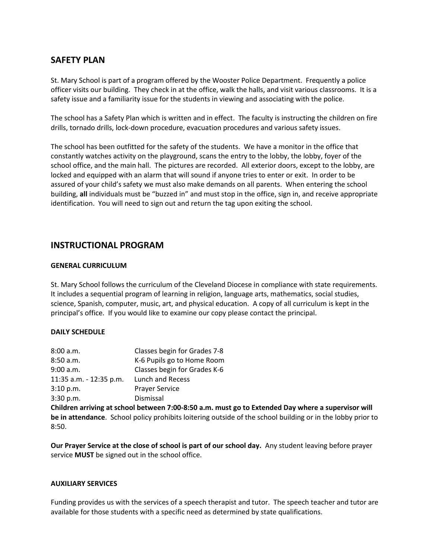## **SAFETY PLAN**

St. Mary School is part of a program offered by the Wooster Police Department. Frequently a police officer visits our building. They check in at the office, walk the halls, and visit various classrooms. It is a safety issue and a familiarity issue for the students in viewing and associating with the police.

The school has a Safety Plan which is written and in effect. The faculty is instructing the children on fire drills, tornado drills, lock-down procedure, evacuation procedures and various safety issues.

The school has been outfitted for the safety of the students. We have a monitor in the office that constantly watches activity on the playground, scans the entry to the lobby, the lobby, foyer of the school office, and the main hall. The pictures are recorded. All exterior doors, except to the lobby, are locked and equipped with an alarm that will sound if anyone tries to enter or exit. In order to be assured of your child's safety we must also make demands on all parents. When entering the school building, **all** individuals must be "buzzed in" and must stop in the office, sign in, and receive appropriate identification. You will need to sign out and return the tag upon exiting the school.

## **INSTRUCTIONAL PROGRAM**

#### **GENERAL CURRICULUM**

St. Mary School follows the curriculum of the Cleveland Diocese in compliance with state requirements. It includes a sequential program of learning in religion, language arts, mathematics, social studies, science, Spanish, computer, music, art, and physical education. A copy of all curriculum is kept in the principal's office. If you would like to examine our copy please contact the principal.

#### **DAILY SCHEDULE**

| 8:00 a.m.               | Classes begin for Grades 7-8 |  |
|-------------------------|------------------------------|--|
| 8:50 a.m.               | K-6 Pupils go to Home Room   |  |
| 9:00 a.m.               | Classes begin for Grades K-6 |  |
| 11:35 a.m. - 12:35 p.m. | <b>Lunch and Recess</b>      |  |
| 3:10 p.m.               | <b>Prayer Service</b>        |  |
| 3:30 p.m.               | Dismissal                    |  |

**Children arriving at school between 7:00-8:50 a.m. must go to Extended Day where a supervisor will be in attendance**. School policy prohibits loitering outside of the school building or in the lobby prior to 8:50.

**Our Prayer Service at the close of school is part of our school day.** Any student leaving before prayer service **MUST** be signed out in the school office.

#### **AUXILIARY SERVICES**

Funding provides us with the services of a speech therapist and tutor. The speech teacher and tutor are available for those students with a specific need as determined by state qualifications.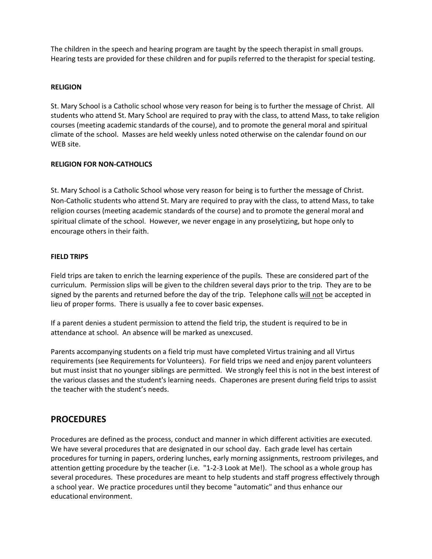The children in the speech and hearing program are taught by the speech therapist in small groups. Hearing tests are provided for these children and for pupils referred to the therapist for special testing.

#### **RELIGION**

St. Mary School is a Catholic school whose very reason for being is to further the message of Christ. All students who attend St. Mary School are required to pray with the class, to attend Mass, to take religion courses (meeting academic standards of the course), and to promote the general moral and spiritual climate of the school. Masses are held weekly unless noted otherwise on the calendar found on our WEB site.

#### **RELIGION FOR NON-CATHOLICS**

St. Mary School is a Catholic School whose very reason for being is to further the message of Christ. Non-Catholic students who attend St. Mary are required to pray with the class, to attend Mass, to take religion courses (meeting academic standards of the course) and to promote the general moral and spiritual climate of the school. However, we never engage in any proselytizing, but hope only to encourage others in their faith.

#### **FIELD TRIPS**

Field trips are taken to enrich the learning experience of the pupils. These are considered part of the curriculum. Permission slips will be given to the children several days prior to the trip. They are to be signed by the parents and returned before the day of the trip. Telephone calls will not be accepted in lieu of proper forms. There is usually a fee to cover basic expenses.

If a parent denies a student permission to attend the field trip, the student is required to be in attendance at school. An absence will be marked as unexcused.

Parents accompanying students on a field trip must have completed Virtus training and all Virtus requirements (see Requirements for Volunteers). For field trips we need and enjoy parent volunteers but must insist that no younger siblings are permitted. We strongly feel this is not in the best interest of the various classes and the student's learning needs. Chaperones are present during field trips to assist the teacher with the student's needs.

## **PROCEDURES**

Procedures are defined as the process, conduct and manner in which different activities are executed. We have several procedures that are designated in our school day. Each grade level has certain procedures for turning in papers, ordering lunches, early morning assignments, restroom privileges, and attention getting procedure by the teacher (i.e. "1-2-3 Look at Me!). The school as a whole group has several procedures. These procedures are meant to help students and staff progress effectively through a school year. We practice procedures until they become "automatic" and thus enhance our educational environment.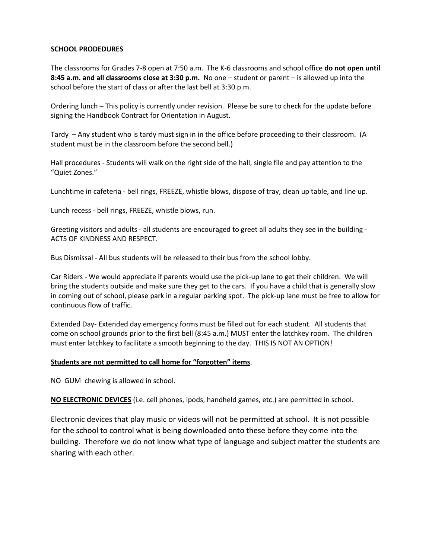#### **SCHOOL PRODEDURES**

The classrooms for Grades 7-8 open at 7:50 a.m. The K-6 classrooms and school office **do not open until 8:45 a.m. and all classrooms close at 3:30 p.m.** No one – student or parent – is allowed up into the school before the start of class or after the last bell at 3:30 p.m.

Ordering lunch – This policy is currently under revision. Please be sure to check for the update before signing the Handbook Contract for Orientation in August.

Tardy – Any student who is tardy must sign in in the office before proceeding to their classroom. (A student must be in the classroom before the second bell.)

Hall procedures - Students will walk on the right side of the hall, single file and pay attention to the "Quiet Zones."

Lunchtime in cafeteria - bell rings, FREEZE, whistle blows, dispose of tray, clean up table, and line up.

Lunch recess - bell rings, FREEZE, whistle blows, run.

Greeting visitors and adults - all students are encouraged to greet all adults they see in the building - ACTS OF KINDNESS AND RESPECT.

Bus Dismissal - All bus students will be released to their bus from the school lobby.

Car Riders - We would appreciate if parents would use the pick-up lane to get their children. We will bring the students outside and make sure they get to the cars. If you have a child that is generally slow in coming out of school, please park in a regular parking spot. The pick-up lane must be free to allow for continuous flow of traffic.

Extended Day- Extended day emergency forms must be filled out for each student. All students that come on school grounds prior to the first bell (8:45 a.m.) MUST enter the latchkey room. The children must enter latchkey to facilitate a smooth beginning to the day. THIS IS NOT AN OPTION!

#### **Students are not permitted to call home for "forgotten" items**.

NO GUM chewing is allowed in school.

**NO ELECTRONIC DEVICES** (i.e. cell phones, ipods, handheld games, etc.) are permitted in school.

Electronic devices that play music or videos will not be permitted at school. It is not possible for the school to control what is being downloaded onto these before they come into the building. Therefore we do not know what type of language and subject matter the students are sharing with each other.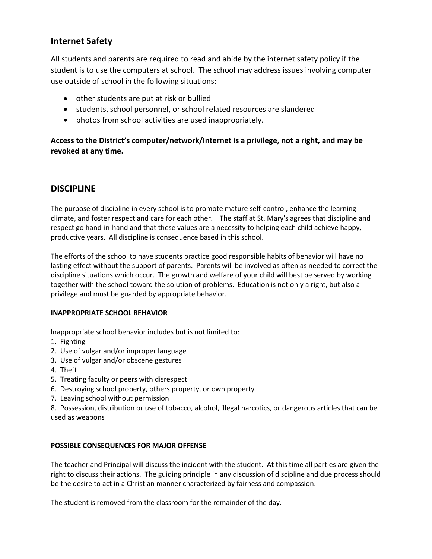# **Internet Safety**

All students and parents are required to read and abide by the internet safety policy if the student is to use the computers at school. The school may address issues involving computer use outside of school in the following situations:

- other students are put at risk or bullied
- students, school personnel, or school related resources are slandered
- photos from school activities are used inappropriately.

**Access to the District's computer/network/Internet is a privilege, not a right, and may be revoked at any time.**

# **DISCIPLINE**

The purpose of discipline in every school is to promote mature self-control, enhance the learning climate, and foster respect and care for each other. The staff at St. Mary's agrees that discipline and respect go hand-in-hand and that these values are a necessity to helping each child achieve happy, productive years. All discipline is consequence based in this school.

The efforts of the school to have students practice good responsible habits of behavior will have no lasting effect without the support of parents. Parents will be involved as often as needed to correct the discipline situations which occur. The growth and welfare of your child will best be served by working together with the school toward the solution of problems. Education is not only a right, but also a privilege and must be guarded by appropriate behavior.

#### **INAPPROPRIATE SCHOOL BEHAVIOR**

Inappropriate school behavior includes but is not limited to:

- 1. Fighting
- 2. Use of vulgar and/or improper language
- 3. Use of vulgar and/or obscene gestures
- 4. Theft
- 5. Treating faculty or peers with disrespect
- 6. Destroying school property, others property, or own property
- 7. Leaving school without permission
- 8. Possession, distribution or use of tobacco, alcohol, illegal narcotics, or dangerous articles that can be used as weapons

#### **POSSIBLE CONSEQUENCES FOR MAJOR OFFENSE**

The teacher and Principal will discuss the incident with the student. At this time all parties are given the right to discuss their actions. The guiding principle in any discussion of discipline and due process should be the desire to act in a Christian manner characterized by fairness and compassion.

The student is removed from the classroom for the remainder of the day.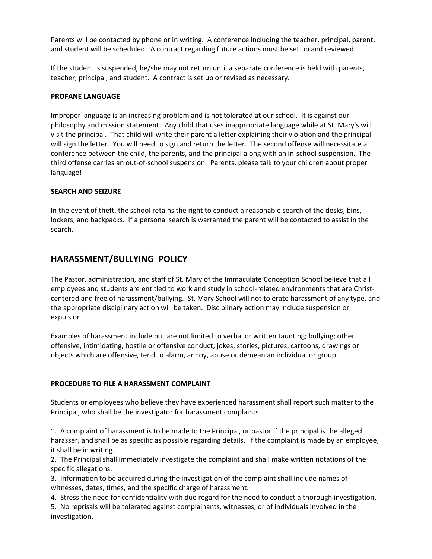Parents will be contacted by phone or in writing. A conference including the teacher, principal, parent, and student will be scheduled. A contract regarding future actions must be set up and reviewed.

If the student is suspended, he/she may not return until a separate conference is held with parents, teacher, principal, and student. A contract is set up or revised as necessary.

#### **PROFANE LANGUAGE**

Improper language is an increasing problem and is not tolerated at our school. It is against our philosophy and mission statement. Any child that uses inappropriate language while at St. Mary's will visit the principal. That child will write their parent a letter explaining their violation and the principal will sign the letter. You will need to sign and return the letter. The second offense will necessitate a conference between the child, the parents, and the principal along with an in-school suspension. The third offense carries an out-of-school suspension. Parents, please talk to your children about proper language!

#### **SEARCH AND SEIZURE**

In the event of theft, the school retains the right to conduct a reasonable search of the desks, bins, lockers, and backpacks. If a personal search is warranted the parent will be contacted to assist in the search.

# **HARASSMENT/BULLYING POLICY**

The Pastor, administration, and staff of St. Mary of the Immaculate Conception School believe that all employees and students are entitled to work and study in school-related environments that are Christcentered and free of harassment/bullying. St. Mary School will not tolerate harassment of any type, and the appropriate disciplinary action will be taken. Disciplinary action may include suspension or expulsion.

Examples of harassment include but are not limited to verbal or written taunting; bullying; other offensive, intimidating, hostile or offensive conduct; jokes, stories, pictures, cartoons, drawings or objects which are offensive, tend to alarm, annoy, abuse or demean an individual or group.

#### **PROCEDURE TO FILE A HARASSMENT COMPLAINT**

Students or employees who believe they have experienced harassment shall report such matter to the Principal, who shall be the investigator for harassment complaints.

1. A complaint of harassment is to be made to the Principal, or pastor if the principal is the alleged harasser, and shall be as specific as possible regarding details. If the complaint is made by an employee, it shall be in writing.

2. The Principal shall immediately investigate the complaint and shall make written notations of the specific allegations.

3. Information to be acquired during the investigation of the complaint shall include names of witnesses, dates, times, and the specific charge of harassment.

4. Stress the need for confidentiality with due regard for the need to conduct a thorough investigation.

5. No reprisals will be tolerated against complainants, witnesses, or of individuals involved in the investigation.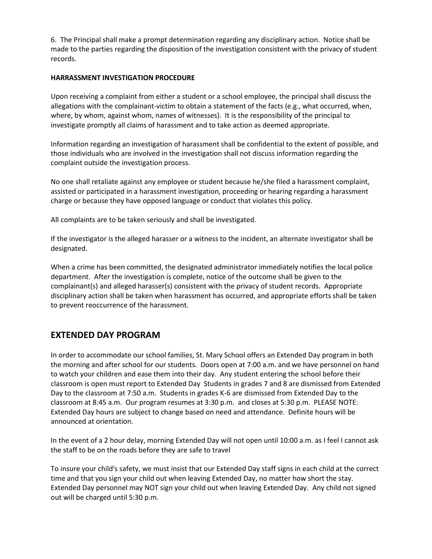6. The Principal shall make a prompt determination regarding any disciplinary action. Notice shall be made to the parties regarding the disposition of the investigation consistent with the privacy of student records.

#### **HARRASSMENT INVESTIGATION PROCEDURE**

Upon receiving a complaint from either a student or a school employee, the principal shall discuss the allegations with the complainant-victim to obtain a statement of the facts (e.g., what occurred, when, where, by whom, against whom, names of witnesses). It is the responsibility of the principal to investigate promptly all claims of harassment and to take action as deemed appropriate.

Information regarding an investigation of harassment shall be confidential to the extent of possible, and those individuals who are involved in the investigation shall not discuss information regarding the complaint outside the investigation process.

No one shall retaliate against any employee or student because he/she filed a harassment complaint, assisted or participated in a harassment investigation, proceeding or hearing regarding a harassment charge or because they have opposed language or conduct that violates this policy.

All complaints are to be taken seriously and shall be investigated.

If the investigator is the alleged harasser or a witness to the incident, an alternate investigator shall be designated.

When a crime has been committed, the designated administrator immediately notifies the local police department. After the investigation is complete, notice of the outcome shall be given to the complainant(s) and alleged harasser(s) consistent with the privacy of student records. Appropriate disciplinary action shall be taken when harassment has occurred, and appropriate efforts shall be taken to prevent reoccurrence of the harassment.

# **EXTENDED DAY PROGRAM**

In order to accommodate our school families, St. Mary School offers an Extended Day program in both the morning and after school for our students. Doors open at 7:00 a.m. and we have personnel on hand to watch your children and ease them into their day. Any student entering the school before their classroom is open must report to Extended Day Students in grades 7 and 8 are dismissed from Extended Day to the classroom at 7:50 a.m. Students in grades K-6 are dismissed from Extended Day to the classroom at 8:45 a.m. Our program resumes at 3:30 p.m. and closes at 5:30 p.m. PLEASE NOTE: Extended Day hours are subject to change based on need and attendance. Definite hours will be announced at orientation.

In the event of a 2 hour delay, morning Extended Day will not open until 10:00 a.m. as I feel I cannot ask the staff to be on the roads before they are safe to travel

To insure your child's safety, we must insist that our Extended Day staff signs in each child at the correct time and that you sign your child out when leaving Extended Day, no matter how short the stay. Extended Day personnel may NOT sign your child out when leaving Extended Day. Any child not signed out will be charged until 5:30 p.m.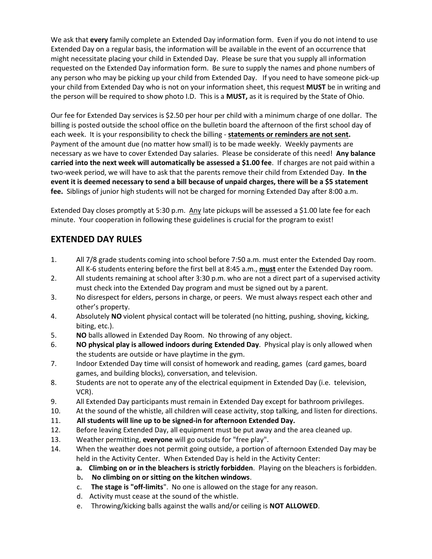We ask that **every** family complete an Extended Day information form. Even if you do not intend to use Extended Day on a regular basis, the information will be available in the event of an occurrence that might necessitate placing your child in Extended Day. Please be sure that you supply all information requested on the Extended Day information form. Be sure to supply the names and phone numbers of any person who may be picking up your child from Extended Day. If you need to have someone pick-up your child from Extended Day who is not on your information sheet, this request **MUST** be in writing and the person will be required to show photo I.D. This is a **MUST,** as it is required by the State of Ohio.

Our fee for Extended Day services is \$2.50 per hour per child with a minimum charge of one dollar. The billing is posted outside the school office on the bulletin board the afternoon of the first school day of each week. It is your responsibility to check the billing - **statements or reminders are not sent.**  Payment of the amount due (no matter how small) is to be made weekly. Weekly payments are necessary as we have to cover Extended Day salaries. Please be considerate of this need! **Any balance carried into the next week will automatically be assessed a \$1.00 fee**. If charges are not paid within a two-week period, we will have to ask that the parents remove their child from Extended Day. **In the event it is deemed necessary to send a bill because of unpaid charges, there will be a \$5 statement fee.** Siblings of junior high students will not be charged for morning Extended Day after 8:00 a.m.

Extended Day closes promptly at 5:30 p.m. Any late pickups will be assessed a \$1.00 late fee for each minute. Your cooperation in following these guidelines is crucial for the program to exist!

# **EXTENDED DAY RULES**

- 1. All 7/8 grade students coming into school before 7:50 a.m. must enter the Extended Day room. All K-6 students entering before the first bell at 8:45 a.m., **must** enter the Extended Day room.
- 2. All students remaining at school after 3:30 p.m. who are not a direct part of a supervised activity must check into the Extended Day program and must be signed out by a parent.
- 3. No disrespect for elders, persons in charge, or peers. We must always respect each other and other's property.
- 4. Absolutely **NO** violent physical contact will be tolerated (no hitting, pushing, shoving, kicking, biting, etc.).
- 5. **NO** balls allowed in Extended Day Room. No throwing of any object.
- 6. **NO physical play is allowed indoors during Extended Day**. Physical play is only allowed when the students are outside or have playtime in the gym.
- 7. Indoor Extended Day time will consist of homework and reading, games (card games, board games, and building blocks), conversation, and television.
- 8. Students are not to operate any of the electrical equipment in Extended Day (i.e. television, VCR).
- 9. All Extended Day participants must remain in Extended Day except for bathroom privileges.
- 10. At the sound of the whistle, all children will cease activity, stop talking, and listen for directions.
- 11. **All students will line up to be signed-in for afternoon Extended Day.**
- 12. Before leaving Extended Day, all equipment must be put away and the area cleaned up.
- 13. Weather permitting, **everyone** will go outside for "free play".
- 14. When the weather does not permit going outside, a portion of afternoon Extended Day may be held in the Activity Center. When Extended Day is held in the Activity Center:
	- **a. Climbing on or in the bleachers is strictly forbidden**. Playing on the bleachers is forbidden.
	- b**. No climbing on or sitting on the kitchen windows**.
	- c. **The stage is "off-limits**". No one is allowed on the stage for any reason.
	- d. Activity must cease at the sound of the whistle.
	- e. Throwing/kicking balls against the walls and/or ceiling is **NOT ALLOWED**.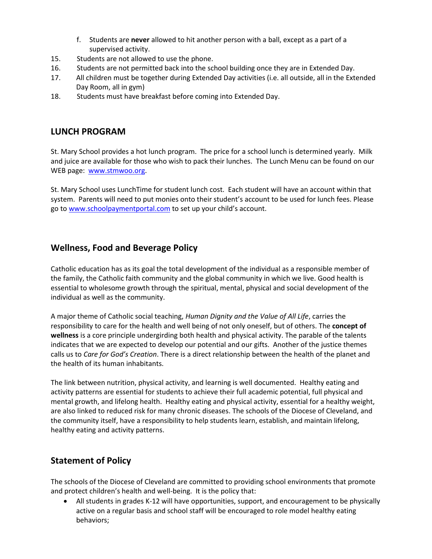- f. Students are **never** allowed to hit another person with a ball, except as a part of a supervised activity.
- 15. Students are not allowed to use the phone.
- 16. Students are not permitted back into the school building once they are in Extended Day.
- 17. All children must be together during Extended Day activities (i.e. all outside, all in the Extended Day Room, all in gym)
- 18. Students must have breakfast before coming into Extended Day.

## **LUNCH PROGRAM**

St. Mary School provides a hot lunch program. The price for a school lunch is determined yearly. Milk and juice are available for those who wish to pack their lunches. The Lunch Menu can be found on our WEB page: [www.stmwoo.org.](http://www.stmwoo.org/)

St. Mary School uses LunchTime for student lunch cost. Each student will have an account within that system. Parents will need to put monies onto their student's account to be used for lunch fees. Please go to [www.schoolpaymentportal.com](http://www.schoolpaymentportal.com/) to set up your child's account.

# **Wellness, Food and Beverage Policy**

Catholic education has as its goal the total development of the individual as a responsible member of the family, the Catholic faith community and the global community in which we live. Good health is essential to wholesome growth through the spiritual, mental, physical and social development of the individual as well as the community.

A major theme of Catholic social teaching, *Human Dignity and the Value of All Life*, carries the responsibility to care for the health and well being of not only oneself, but of others. The **concept of wellness** is a core principle undergirding both health and physical activity. The parable of the talents indicates that we are expected to develop our potential and our gifts. Another of the justice themes calls us to *Care for God's Creation*. There is a direct relationship between the health of the planet and the health of its human inhabitants.

The link between nutrition, physical activity, and learning is well documented. Healthy eating and activity patterns are essential for students to achieve their full academic potential, full physical and mental growth, and lifelong health. Healthy eating and physical activity, essential for a healthy weight, are also linked to reduced risk for many chronic diseases. The schools of the Diocese of Cleveland, and the community itself, have a responsibility to help students learn, establish, and maintain lifelong, healthy eating and activity patterns.

# **Statement of Policy**

The schools of the Diocese of Cleveland are committed to providing school environments that promote and protect children's health and well-being. It is the policy that:

 All students in grades K-12 will have opportunities, support, and encouragement to be physically active on a regular basis and school staff will be encouraged to role model healthy eating behaviors;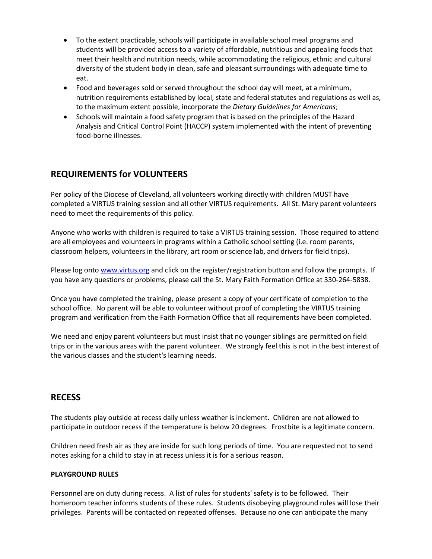- To the extent practicable, schools will participate in available school meal programs and students will be provided access to a variety of affordable, nutritious and appealing foods that meet their health and nutrition needs, while accommodating the religious, ethnic and cultural diversity of the student body in clean, safe and pleasant surroundings with adequate time to eat.
- Food and beverages sold or served throughout the school day will meet, at a minimum, nutrition requirements established by local, state and federal statutes and regulations as well as, to the maximum extent possible, incorporate the *Dietary Guidelines for Americans*;
- Schools will maintain a food safety program that is based on the principles of the Hazard Analysis and Critical Control Point (HACCP) system implemented with the intent of preventing food-borne illnesses.

# **REQUIREMENTS for VOLUNTEERS**

Per policy of the Diocese of Cleveland, all volunteers working directly with children MUST have completed a VIRTUS training session and all other VIRTUS requirements. All St. Mary parent volunteers need to meet the requirements of this policy.

Anyone who works with children is required to take a VIRTUS training session. Those required to attend are all employees and volunteers in programs within a Catholic school setting (i.e. room parents, classroom helpers, volunteers in the library, art room or science lab, and drivers for field trips).

Please log ont[o www.virtus.org](http://www.virtus.org/) and click on the register/registration button and follow the prompts. If you have any questions or problems, please call the St. Mary Faith Formation Office at 330-264-5838.

Once you have completed the training, please present a copy of your certificate of completion to the school office. No parent will be able to volunteer without proof of completing the VIRTUS training program and verification from the Faith Formation Office that all requirements have been completed.

We need and enjoy parent volunteers but must insist that no younger siblings are permitted on field trips or in the various areas with the parent volunteer. We strongly feel this is not in the best interest of the various classes and the student's learning needs.

## **RECESS**

The students play outside at recess daily unless weather is inclement. Children are not allowed to participate in outdoor recess if the temperature is below 20 degrees. Frostbite is a legitimate concern.

Children need fresh air as they are inside for such long periods of time. You are requested not to send notes asking for a child to stay in at recess unless it is for a serious reason.

#### **PLAYGROUND RULES**

Personnel are on duty during recess. A list of rules for students' safety is to be followed. Their homeroom teacher informs students of these rules. Students disobeying playground rules will lose their privileges. Parents will be contacted on repeated offenses. Because no one can anticipate the many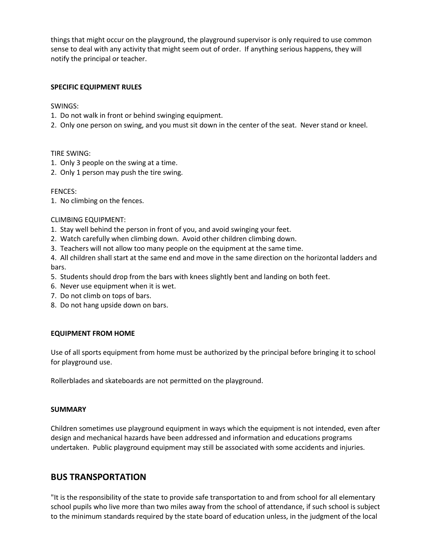things that might occur on the playground, the playground supervisor is only required to use common sense to deal with any activity that might seem out of order. If anything serious happens, they will notify the principal or teacher.

#### **SPECIFIC EQUIPMENT RULES**

SWINGS:

- 1. Do not walk in front or behind swinging equipment.
- 2. Only one person on swing, and you must sit down in the center of the seat. Never stand or kneel.

#### TIRE SWING:

- 1. Only 3 people on the swing at a time.
- 2. Only 1 person may push the tire swing.

#### FENCES:

1. No climbing on the fences.

#### CLIMBING EQUIPMENT:

- 1. Stay well behind the person in front of you, and avoid swinging your feet.
- 2. Watch carefully when climbing down. Avoid other children climbing down.
- 3. Teachers will not allow too many people on the equipment at the same time.

4. All children shall start at the same end and move in the same direction on the horizontal ladders and bars.

- 5. Students should drop from the bars with knees slightly bent and landing on both feet.
- 6. Never use equipment when it is wet.
- 7. Do not climb on tops of bars.
- 8. Do not hang upside down on bars.

#### **EQUIPMENT FROM HOME**

Use of all sports equipment from home must be authorized by the principal before bringing it to school for playground use.

Rollerblades and skateboards are not permitted on the playground.

#### **SUMMARY**

Children sometimes use playground equipment in ways which the equipment is not intended, even after design and mechanical hazards have been addressed and information and educations programs undertaken. Public playground equipment may still be associated with some accidents and injuries.

## **BUS TRANSPORTATION**

"It is the responsibility of the state to provide safe transportation to and from school for all elementary school pupils who live more than two miles away from the school of attendance, if such school is subject to the minimum standards required by the state board of education unless, in the judgment of the local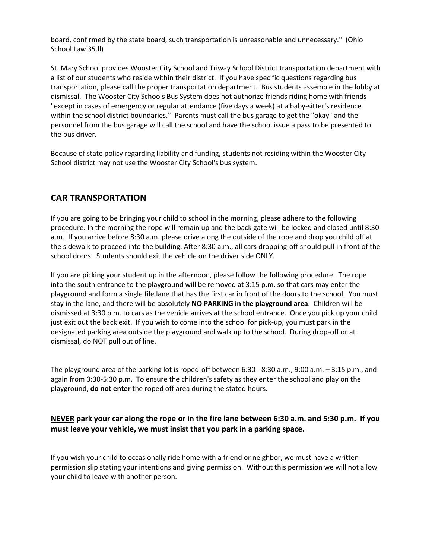board, confirmed by the state board, such transportation is unreasonable and unnecessary." (Ohio School Law 35.ll)

St. Mary School provides Wooster City School and Triway School District transportation department with a list of our students who reside within their district. If you have specific questions regarding bus transportation, please call the proper transportation department. Bus students assemble in the lobby at dismissal. The Wooster City Schools Bus System does not authorize friends riding home with friends "except in cases of emergency or regular attendance (five days a week) at a baby-sitter's residence within the school district boundaries." Parents must call the bus garage to get the "okay" and the personnel from the bus garage will call the school and have the school issue a pass to be presented to the bus driver.

Because of state policy regarding liability and funding, students not residing within the Wooster City School district may not use the Wooster City School's bus system.

# **CAR TRANSPORTATION**

If you are going to be bringing your child to school in the morning, please adhere to the following procedure. In the morning the rope will remain up and the back gate will be locked and closed until 8:30 a.m. If you arrive before 8:30 a.m. please drive along the outside of the rope and drop you child off at the sidewalk to proceed into the building. After 8:30 a.m., all cars dropping-off should pull in front of the school doors. Students should exit the vehicle on the driver side ONLY.

If you are picking your student up in the afternoon, please follow the following procedure. The rope into the south entrance to the playground will be removed at 3:15 p.m. so that cars may enter the playground and form a single file lane that has the first car in front of the doors to the school. You must stay in the lane, and there will be absolutely **NO PARKING in the playground area**. Children will be dismissed at 3:30 p.m. to cars as the vehicle arrives at the school entrance. Once you pick up your child just exit out the back exit. If you wish to come into the school for pick-up, you must park in the designated parking area outside the playground and walk up to the school. During drop-off or at dismissal, do NOT pull out of line.

The playground area of the parking lot is roped-off between 6:30 - 8:30 a.m., 9:00 a.m. – 3:15 p.m., and again from 3:30-5:30 p.m. To ensure the children's safety as they enter the school and play on the playground, **do not enter** the roped off area during the stated hours.

## **NEVER park your car along the rope or in the fire lane between 6:30 a.m. and 5:30 p.m. If you must leave your vehicle, we must insist that you park in a parking space.**

If you wish your child to occasionally ride home with a friend or neighbor, we must have a written permission slip stating your intentions and giving permission. Without this permission we will not allow your child to leave with another person.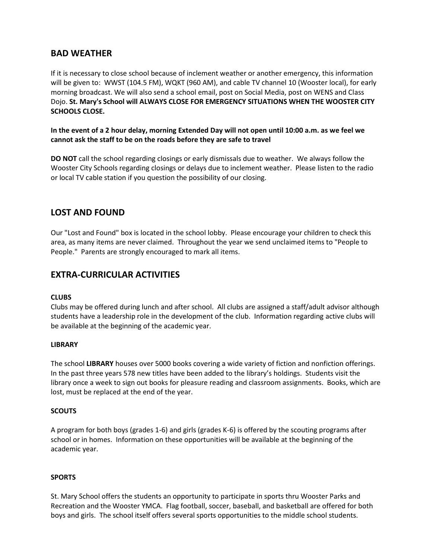## **BAD WEATHER**

If it is necessary to close school because of inclement weather or another emergency, this information will be given to: WWST (104.5 FM), WQKT (960 AM), and cable TV channel 10 (Wooster local), for early morning broadcast. We will also send a school email, post on Social Media, post on WENS and Class Dojo. **St. Mary's School will ALWAYS CLOSE FOR EMERGENCY SITUATIONS WHEN THE WOOSTER CITY SCHOOLS CLOSE.**

#### **In the event of a 2 hour delay, morning Extended Day will not open until 10:00 a.m. as we feel we cannot ask the staff to be on the roads before they are safe to travel**

**DO NOT** call the school regarding closings or early dismissals due to weather. We always follow the Wooster City Schools regarding closings or delays due to inclement weather. Please listen to the radio or local TV cable station if you question the possibility of our closing.

## **LOST AND FOUND**

Our "Lost and Found" box is located in the school lobby. Please encourage your children to check this area, as many items are never claimed. Throughout the year we send unclaimed items to "People to People." Parents are strongly encouraged to mark all items.

# **EXTRA-CURRICULAR ACTIVITIES**

#### **CLUBS**

Clubs may be offered during lunch and after school. All clubs are assigned a staff/adult advisor although students have a leadership role in the development of the club. Information regarding active clubs will be available at the beginning of the academic year.

#### **LIBRARY**

The school **LIBRARY** houses over 5000 books covering a wide variety of fiction and nonfiction offerings. In the past three years 578 new titles have been added to the library's holdings. Students visit the library once a week to sign out books for pleasure reading and classroom assignments. Books, which are lost, must be replaced at the end of the year.

#### **SCOUTS**

A program for both boys (grades 1-6) and girls (grades K-6) is offered by the scouting programs after school or in homes. Information on these opportunities will be available at the beginning of the academic year.

## **SPORTS**

St. Mary School offers the students an opportunity to participate in sports thru Wooster Parks and Recreation and the Wooster YMCA. Flag football, soccer, baseball, and basketball are offered for both boys and girls. The school itself offers several sports opportunities to the middle school students.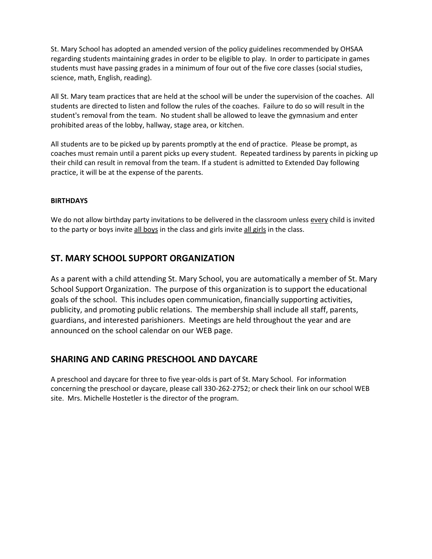St. Mary School has adopted an amended version of the policy guidelines recommended by OHSAA regarding students maintaining grades in order to be eligible to play. In order to participate in games students must have passing grades in a minimum of four out of the five core classes (social studies, science, math, English, reading).

All St. Mary team practices that are held at the school will be under the supervision of the coaches. All students are directed to listen and follow the rules of the coaches. Failure to do so will result in the student's removal from the team. No student shall be allowed to leave the gymnasium and enter prohibited areas of the lobby, hallway, stage area, or kitchen.

All students are to be picked up by parents promptly at the end of practice. Please be prompt, as coaches must remain until a parent picks up every student. Repeated tardiness by parents in picking up their child can result in removal from the team. If a student is admitted to Extended Day following practice, it will be at the expense of the parents.

#### **BIRTHDAYS**

We do not allow birthday party invitations to be delivered in the classroom unless every child is invited to the party or boys invite all boys in the class and girls invite all girls in the class.

## **ST. MARY SCHOOL SUPPORT ORGANIZATION**

As a parent with a child attending St. Mary School, you are automatically a member of St. Mary School Support Organization. The purpose of this organization is to support the educational goals of the school. This includes open communication, financially supporting activities, publicity, and promoting public relations. The membership shall include all staff, parents, guardians, and interested parishioners. Meetings are held throughout the year and are announced on the school calendar on our WEB page.

# **SHARING AND CARING PRESCHOOL AND DAYCARE**

A preschool and daycare for three to five year-olds is part of St. Mary School. For information concerning the preschool or daycare, please call 330-262-2752; or check their link on our school WEB site. Mrs. Michelle Hostetler is the director of the program.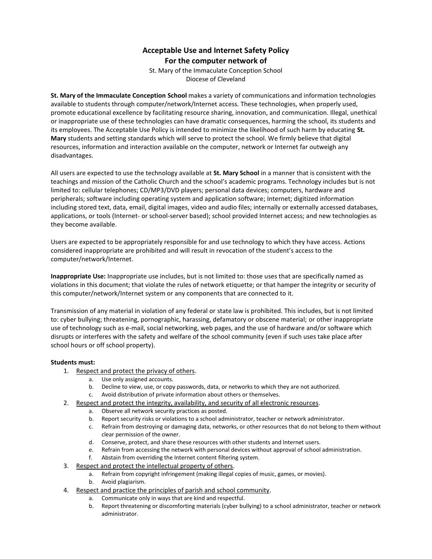## **Acceptable Use and Internet Safety Policy For the computer network of**

St. Mary of the Immaculate Conception School Diocese of Cleveland

**St. Mary of the Immaculate Conception School** makes a variety of communications and information technologies available to students through computer/network/Internet access. These technologies, when properly used, promote educational excellence by facilitating resource sharing, innovation, and communication. Illegal, unethical or inappropriate use of these technologies can have dramatic consequences, harming the school, its students and its employees. The Acceptable Use Policy is intended to minimize the likelihood of such harm by educating **St. Mary** students and setting standards which will serve to protect the school. We firmly believe that digital resources, information and interaction available on the computer, network or Internet far outweigh any disadvantages.

All users are expected to use the technology available at **St. Mary School** in a manner that is consistent with the teachings and mission of the Catholic Church and the school's academic programs. Technology includes but is not limited to: cellular telephones; CD/MP3/DVD players; personal data devices; computers, hardware and peripherals; software including operating system and application software; Internet; digitized information including stored text, data, email, digital images, video and audio files; internally or externally accessed databases, applications, or tools (Internet- or school-server based); school provided Internet access; and new technologies as they become available.

Users are expected to be appropriately responsible for and use technology to which they have access. Actions considered inappropriate are prohibited and will result in revocation of the student's access to the computer/network/Internet.

**Inappropriate Use:** Inappropriate use includes, but is not limited to: those uses that are specifically named as violations in this document; that violate the rules of network etiquette; or that hamper the integrity or security of this computer/network/Internet system or any components that are connected to it.

Transmission of any material in violation of any federal or state law is prohibited. This includes, but is not limited to: cyber bullying; threatening, pornographic, harassing, defamatory or obscene material; or other inappropriate use of technology such as e-mail, social networking, web pages, and the use of hardware and/or software which disrupts or interferes with the safety and welfare of the school community (even if such uses take place after school hours or off school property).

#### **Students must:**

- 1. Respect and protect the privacy of others.
	- a. Use only assigned accounts.
	- b. Decline to view, use, or copy passwords, data, or networks to which they are not authorized.
	- c. Avoid distribution of private information about others or themselves.
- 2. Respect and protect the integrity, availability, and security of all electronic resources.
	- a. Observe all network security practices as posted.
	- b. Report security risks or violations to a school administrator, teacher or network administrator.
	- c. Refrain from destroying or damaging data, networks, or other resources that do not belong to them without clear permission of the owner.
	- d. Conserve, protect, and share these resources with other students and Internet users.
	- e. Refrain from accessing the network with personal devices without approval of school administration.
	- f. Abstain from overriding the Internet content filtering system.
- 3. Respect and protect the intellectual property of others.
	- a. Refrain from copyright infringement (making illegal copies of music, games, or movies).
	- b. Avoid plagiarism.
- 4. Respect and practice the principles of parish and school community.
	- a. Communicate only in ways that are kind and respectful.
	- b. Report threatening or discomforting materials (cyber bullying) to a school administrator, teacher or network administrator.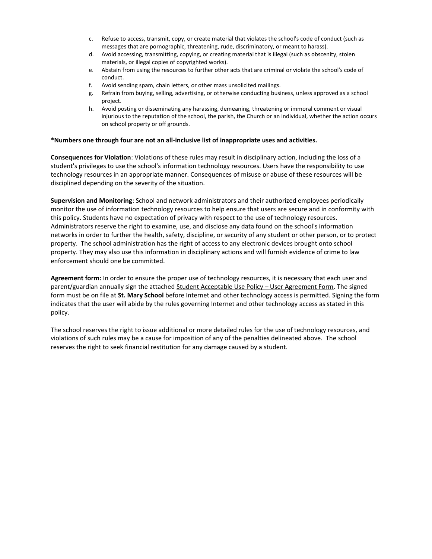- c. Refuse to access, transmit, copy, or create material that violates the school's code of conduct (such as messages that are pornographic, threatening, rude, discriminatory, or meant to harass).
- d. Avoid accessing, transmitting, copying, or creating material that is illegal (such as obscenity, stolen materials, or illegal copies of copyrighted works).
- e. Abstain from using the resources to further other acts that are criminal or violate the school's code of conduct.
- f. Avoid sending spam, chain letters, or other mass unsolicited mailings.
- g. Refrain from buying, selling, advertising, or otherwise conducting business, unless approved as a school project.
- h. Avoid posting or disseminating any harassing, demeaning, threatening or immoral comment or visual injurious to the reputation of the school, the parish, the Church or an individual, whether the action occurs on school property or off grounds.

#### **\*Numbers one through four are not an all-inclusive list of inappropriate uses and activities.**

**Consequences for Violation**: Violations of these rules may result in disciplinary action, including the loss of a student's privileges to use the school's information technology resources. Users have the responsibility to use technology resources in an appropriate manner. Consequences of misuse or abuse of these resources will be disciplined depending on the severity of the situation.

**Supervision and Monitoring**: School and network administrators and their authorized employees periodically monitor the use of information technology resources to help ensure that users are secure and in conformity with this policy. Students have no expectation of privacy with respect to the use of technology resources. Administrators reserve the right to examine, use, and disclose any data found on the school's information networks in order to further the health, safety, discipline, or security of any student or other person, or to protect property. The school administration has the right of access to any electronic devices brought onto school property. They may also use this information in disciplinary actions and will furnish evidence of crime to law enforcement should one be committed.

**Agreement form:** In order to ensure the proper use of technology resources, it is necessary that each user and parent/guardian annually sign the attached Student Acceptable Use Policy – User Agreement Form. The signed form must be on file at **St. Mary School** before Internet and other technology access is permitted. Signing the form indicates that the user will abide by the rules governing Internet and other technology access as stated in this policy.

The school reserves the right to issue additional or more detailed rules for the use of technology resources, and violations of such rules may be a cause for imposition of any of the penalties delineated above. The school reserves the right to seek financial restitution for any damage caused by a student.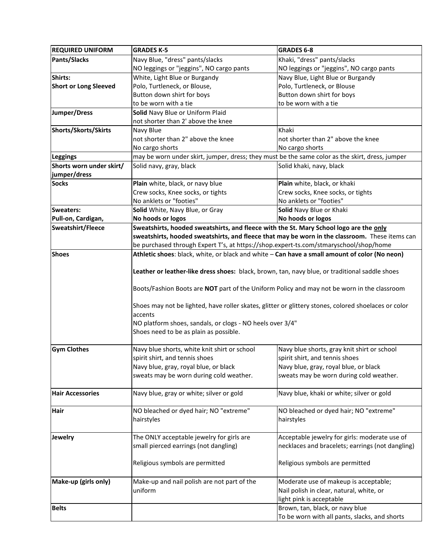| <b>REQUIRED UNIFORM</b>      | <b>GRADES K-5</b>                                                                                                                                                                                   | <b>GRADES 6-8</b>                                |  |
|------------------------------|-----------------------------------------------------------------------------------------------------------------------------------------------------------------------------------------------------|--------------------------------------------------|--|
| <b>Pants/Slacks</b>          | Navy Blue, "dress" pants/slacks                                                                                                                                                                     | Khaki, "dress" pants/slacks                      |  |
|                              | NO leggings or "jeggins", NO cargo pants                                                                                                                                                            | NO leggings or "jeggins", NO cargo pants         |  |
| Shirts:                      | White, Light Blue or Burgandy                                                                                                                                                                       | Navy Blue, Light Blue or Burgandy                |  |
| <b>Short or Long Sleeved</b> | Polo, Turtleneck, or Blouse,                                                                                                                                                                        | Polo, Turtleneck, or Blouse                      |  |
|                              | Button down shirt for boys                                                                                                                                                                          | Button down shirt for boys                       |  |
|                              | to be worn with a tie                                                                                                                                                                               | to be worn with a tie                            |  |
| Jumper/Dress                 | Solid Navy Blue or Uniform Plaid                                                                                                                                                                    |                                                  |  |
|                              | not shorter than 2' above the knee                                                                                                                                                                  |                                                  |  |
| Shorts/Skorts/Skirts         | Navy Blue                                                                                                                                                                                           | Khaki                                            |  |
|                              | not shorter than 2" above the knee                                                                                                                                                                  | not shorter than 2" above the knee               |  |
|                              | No cargo shorts                                                                                                                                                                                     | No cargo shorts                                  |  |
| Leggings                     | may be worn under skirt, jumper, dress; they must be the same color as the skirt, dress, jumper                                                                                                     |                                                  |  |
| Shorts worn under skirt/     | Solid navy, gray, black                                                                                                                                                                             | Solid khaki, navy, black                         |  |
| jumper/dress                 |                                                                                                                                                                                                     |                                                  |  |
| <b>Socks</b>                 | Plain white, black, or navy blue                                                                                                                                                                    | Plain white, black, or khaki                     |  |
|                              | Crew socks, Knee socks, or tights                                                                                                                                                                   | Crew socks, Knee socks, or tights                |  |
|                              | No anklets or "footies"                                                                                                                                                                             | No anklets or "footies"                          |  |
| <b>Sweaters:</b>             | Solid White, Navy Blue, or Gray                                                                                                                                                                     | Solid Navy Blue or Khaki                         |  |
| Pull-on, Cardigan,           | No hoods or logos                                                                                                                                                                                   | No hoods or logos                                |  |
| Sweatshirt/Fleece            | Sweatshirts, hooded sweatshirts, and fleece with the St. Mary School logo are the only                                                                                                              |                                                  |  |
|                              | sweatshirts, hooded sweatshirts, and fleece that may be worn in the classroom. These items can                                                                                                      |                                                  |  |
|                              | be purchased through Expert T's, at https://shop.expert-ts.com/stmaryschool/shop/home                                                                                                               |                                                  |  |
| <b>Shoes</b>                 | Athletic shoes: black, white, or black and white - Can have a small amount of color (No neon)                                                                                                       |                                                  |  |
|                              |                                                                                                                                                                                                     |                                                  |  |
|                              | Leather or leather-like dress shoes: black, brown, tan, navy blue, or traditional saddle shoes                                                                                                      |                                                  |  |
|                              | Boots/Fashion Boots are NOT part of the Uniform Policy and may not be worn in the classroom<br>Shoes may not be lighted, have roller skates, glitter or glittery stones, colored shoelaces or color |                                                  |  |
|                              |                                                                                                                                                                                                     |                                                  |  |
|                              |                                                                                                                                                                                                     |                                                  |  |
|                              |                                                                                                                                                                                                     |                                                  |  |
|                              | accents                                                                                                                                                                                             |                                                  |  |
|                              | NO platform shoes, sandals, or clogs - NO heels over 3/4"                                                                                                                                           |                                                  |  |
|                              | Shoes need to be as plain as possible.                                                                                                                                                              |                                                  |  |
|                              |                                                                                                                                                                                                     |                                                  |  |
| <b>Gym Clothes</b>           | Navy blue shorts, white knit shirt or school                                                                                                                                                        | Navy blue shorts, gray knit shirt or school      |  |
|                              | spirit shirt, and tennis shoes                                                                                                                                                                      | spirit shirt, and tennis shoes                   |  |
|                              | Navy blue, gray, royal blue, or black                                                                                                                                                               | Navy blue, gray, royal blue, or black            |  |
|                              | sweats may be worn during cold weather.                                                                                                                                                             | sweats may be worn during cold weather.          |  |
|                              |                                                                                                                                                                                                     |                                                  |  |
| <b>Hair Accessories</b>      | Navy blue, gray or white; silver or gold                                                                                                                                                            | Navy blue, khaki or white; silver or gold        |  |
|                              |                                                                                                                                                                                                     |                                                  |  |
| Hair                         | NO bleached or dyed hair; NO "extreme"                                                                                                                                                              | NO bleached or dyed hair; NO "extreme"           |  |
|                              | hairstyles                                                                                                                                                                                          | hairstyles                                       |  |
|                              |                                                                                                                                                                                                     |                                                  |  |
| Jewelry                      | The ONLY acceptable jewelry for girls are                                                                                                                                                           | Acceptable jewelry for girls: moderate use of    |  |
|                              | small pierced earrings (not dangling)                                                                                                                                                               | necklaces and bracelets; earrings (not dangling) |  |
|                              |                                                                                                                                                                                                     |                                                  |  |
|                              | Religious symbols are permitted                                                                                                                                                                     | Religious symbols are permitted                  |  |
|                              |                                                                                                                                                                                                     |                                                  |  |
| Make-up (girls only)         | Make-up and nail polish are not part of the                                                                                                                                                         | Moderate use of makeup is acceptable;            |  |
|                              | uniform                                                                                                                                                                                             | Nail polish in clear, natural, white, or         |  |
|                              |                                                                                                                                                                                                     | light pink is acceptable                         |  |
| <b>Belts</b>                 |                                                                                                                                                                                                     | Brown, tan, black, or navy blue                  |  |
|                              |                                                                                                                                                                                                     | To be worn with all pants, slacks, and shorts    |  |